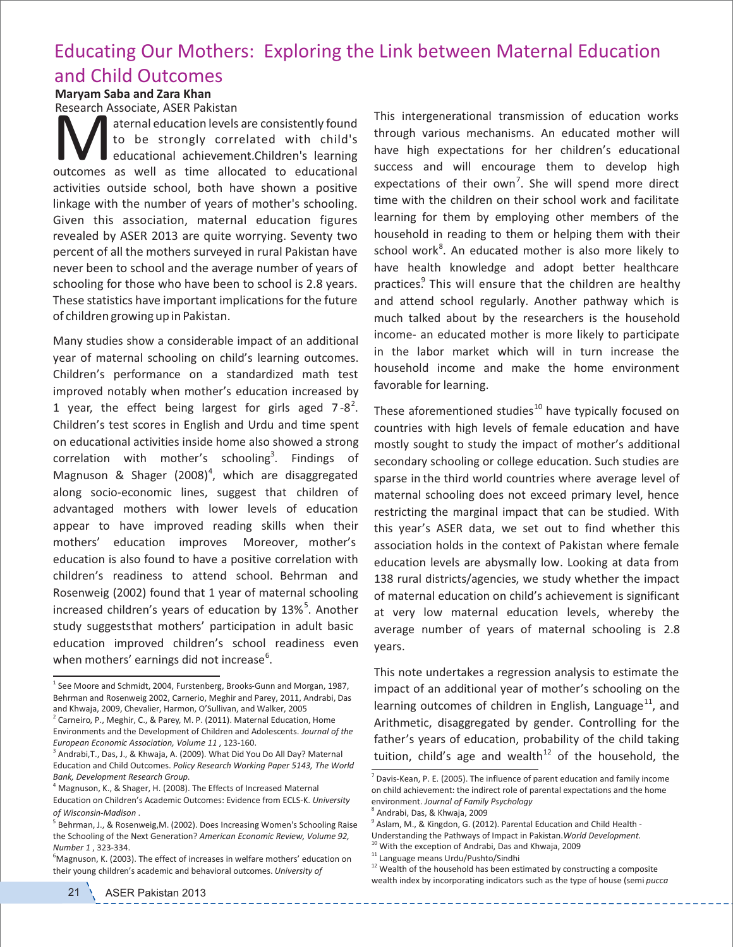## Educating Our Mothers: Exploring the Link between Maternal Education and Child Outcomes

**Maryam Saba and Zara Khan** Research Associate, ASER Pakistan

Museum Associate, ASER Pakistan<br>
to be strongly correlated with child's<br>
ducational achievement.Children's learning<br>
outcomes as well as time allocated to educational educational achievement.Children's learning activities outside school, both have shown a positive linkage with the number of years of mother's schooling. Given this association, maternal education figures revealed by ASER 2013 are quite worrying. Seventy two percent of all the mothers surveyed in rural Pakistan have never been to school and the average number of years of schooling for those who have been to school is 2.8 years. These statistics have important implications for the future of children growing up in Pakistan.

Many studies show a considerable impact of an additional year of maternal schooling on child's learning outcomes. Children's performance on a standardized math test improved notably when mother's education increased by 1 year, the effect being largest for girls aged  $7-8^2$ . Children's test scores in English and Urdu and time spent on educational activities inside home also showed a strong correlation with mother's schooling<sup>3</sup>. Findings of Magnuson & Shager  $(2008)^4$ , which are disaggregated along socio‐economic lines, suggest that children of advantaged mothers with lower levels of education appear to have improved reading skills when their mothers' education improves. Moreover, mother's education is also found to have a positive correlation with children's readiness to attend school. Behrman and Rosenweig (2002) found that 1 year of maternal schooling increased children's years of education by  $13\% ^{5}$ . Another study suggeststhat mothers' participation in adult basic education improved children's school readiness even when mothers' earnings did not increase<sup>6</sup>.

This intergenerational transmission of education works through various mechanisms. An educated mother will have high expectations for her children's educational success and will encourage them to develop high expectations of their own<sup>7</sup>. She will spend more direct time with the children on their school work and facilitate learning for them by employing other members of the household in reading to them or helping them with their school work<sup>8</sup>. An educated mother is also more likely to have health knowledge and adopt better healthcare practices.<sup>9</sup> This will ensure that the children are healthy and attend school regularly. Another pathway which is much talked about by the researchers is the household income‐ an educated mother is more likely to participate in the labor market which will in turn increase the household income and make the home environment favorable for learning.

These aforementioned studies<sup>10</sup> have typically focused on countries with high levels of female education and have mostly sought to study the impact of mother's additional secondary schooling or college education. Such studies are sparse in the third world countries where average level of maternal schooling does not exceed primary level, hence restricting the marginal impact that can be studied. With this year's ASER data, we set out to find whether this association holds in the context of Pakistan where female education levels are abysmally low. Looking at data from 138 rural districts/agencies, we study whether the impact of maternal education on child's achievement is significant at very low maternal education levels, whereby the average number of years of maternal schooling is 2.8 years.

This note undertakes a regression analysis to estimate the impact of an additional year of mother's schooling on the learning outcomes of children in English, Language<sup>11</sup>, and Arithmetic, disaggregated by gender. Controlling for the father's years of education, probability of the child taking tuition, child's age and wealth<sup>12</sup> of the household, the

1 See Moore and Schmidt, 2004, Furstenberg, Brooks‐Gunn and Morgan, 1987, Behrman and Rosenweig 2002, Carnerio, Meghir and Parey, 2011, Andrabi, Das and Khwaja, 2009, Chevalier, Harmon, O'Sullivan, and Walker, 2005

<sup>&</sup>lt;sup>2</sup> Carneiro, P., Meghir, C., & Parey, M. P. (2011). Maternal Education, Home Environments and the Development of Children and Adolescents. *Journal of the European Economic Association, Volume 11* , 123‐160.

<sup>&</sup>lt;sup>3</sup> Andrabi,T., Das, J., & Khwaja, A. (2009). What Did You Do All Day? Maternal Education and Child Outcomes. *Policy Research Working Paper 5143, The World Bank, Development Research Group*.

 $4$  Magnuson, K., & Shager, H. (2008). The Effects of Increased Maternal Education on Children's Academic Outcomes: Evidence from ECLS‐K. *University of Wisconsin‐Madison* .

<sup>&</sup>lt;sup>5</sup> Behrman, J., & Rosenweig, M. (2002). Does Increasing Women's Schooling Raise the Schooling of the Next Generation? *American Economic Review, Volume 92, Number 1* , 323‐334.

 $6$ Magnuson, K. (2003). The effect of increases in welfare mothers' education on their young children's academic and behavioral outcomes. *University of* 

 $7$  Davis-Kean, P. E. (2005). The influence of parent education and family income on child achievement: the indirect role of parental expectations and the home environment. *Journal of Family Psychology*

<sup>8</sup> Andrabi, Das, & Khwaja, 2009

 $^9$  Aslam, M., & Kingdon, G. (2012). Parental Education and Child Health -

Understanding the Pathways of Impact in Pakistan.*World Development.*

 $^{10}$  With the exception of Andrabi, Das and Khwaja, 2009

<sup>11</sup> Language means Urdu/Pushto/Sindhi

 $12$  Wealth of the household has been estimated by constructing a composite wealth index by incorporating indicators such as the type of house (semi *pucca*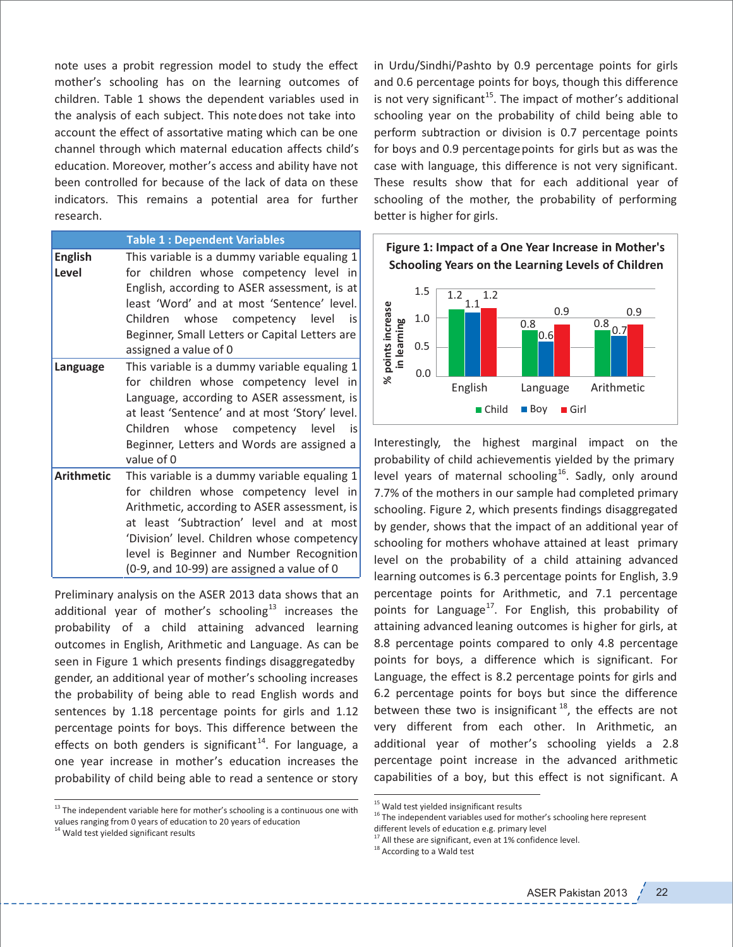note uses a probit regression model to study the effect mother's schooling has on the learning outcomes of children. Table 1 shows the dependent variables used in the analysis of each subject. This notedoes not take into account the effect of assortative mating which can be one channel through which maternal education affects child's education. Moreover, mother's access and ability have not been controlled for because of the lack of data on these indicators. This remains a potential area for further research.

## **Table 1 : Dependent Variables**

| <b>English</b><br>Level | This variable is a dummy variable equaling 1<br>for children whose competency level in<br>English, according to ASER assessment, is at<br>least 'Word' and at most 'Sentence' level.<br>whose competency level<br>Children<br>is<br>Beginner, Small Letters or Capital Letters are<br>assigned a value of 0                 |
|-------------------------|-----------------------------------------------------------------------------------------------------------------------------------------------------------------------------------------------------------------------------------------------------------------------------------------------------------------------------|
| Language                | This variable is a dummy variable equaling 1<br>for children whose competency level in<br>Language, according to ASER assessment, is<br>at least 'Sentence' and at most 'Story' level.<br>whose competency level<br>Children<br>is<br>Beginner, Letters and Words are assigned a<br>value of 0                              |
| <b>Arithmetic</b>       | This variable is a dummy variable equaling 1<br>for children whose competency level in<br>Arithmetic, according to ASER assessment, is<br>at least 'Subtraction' level and at most<br>'Division' level. Children whose competency<br>level is Beginner and Number Recognition<br>(0-9, and 10-99) are assigned a value of 0 |

Preliminary analysis on the ASER 2013 data shows that an additional year of mother's schooling<sup>13</sup> increases the probability of a child attaining advanced learning outcomes in English, Arithmetic and Language. As can be seen in Figure 1 which presents findings disaggregatedby gender, an additional year of mother's schooling increases the probability of being able to read English words and sentences by 1.18 percentage points for girls and 1.12 percentage points for boys. This difference between the effects on both genders is significant<sup>14</sup>. For language, a one year increase in mother's education increases the probability of child being able to read a sentence or story

 $13$  The independent variable here for mother's schooling is a continuous one with values ranging from 0 years of education to 20 years of education

<sup>14</sup> Wald test yielded significant results

in Urdu/Sindhi/Pashto by 0.9 percentage points for girls and 0.6 percentage points for boys, though this difference is not very significant<sup>15</sup>. The impact of mother's additional schooling year on the probability of child being able to perform subtraction or division is 0.7 percentage points for boys and 0.9 percentage points for girls but as was the case with language, this difference is not very significant. These results show that for each additional year of schooling of the mother, the probability of performing better is higher for girls.



Interestingly, the highest marginal impact on the probability of child achievementis yielded by the primary level years of maternal schooling<sup>16</sup>. Sadly, only around 7.7% of the mothers in our sample had completed primary schooling. Figure 2, which presents findings disaggregated by gender, shows that the impact of an additional year of schooling for mothers who have attained at least primary level on the probability of a child attaining advanced learning outcomes is 6.3 percentage points for English, 3.9 percentage points for Arithmetic, and 7.1 percentage points for Language<sup>17</sup>. For English, this probability of attaining advanced leaning outcomes is higher for girls, at 8.8 percentage points compared to only 4.8 percentage points for boys, a difference which is significant. For Language, the effect is 8.2 percentage points for girls and 6.2 percentage points for boys but since the difference between these two is insignificant  $^{18}$ , the effects are not very different from each other. In Arithmetic, an additional year of mother's schooling yields a 2.8 percentage point increase in the advanced arithmetic capabilities of a boy, but this effect is not significant. A

<sup>&</sup>lt;sup>15</sup> Wald test yielded insignificant results

<sup>&</sup>lt;sup>16</sup> The independent variables used for mother's schooling here represent different levels of education e.g. primary level

 $17$  All these are significant, even at 1% confidence level.

<sup>&</sup>lt;sup>18</sup> According to a Wald test